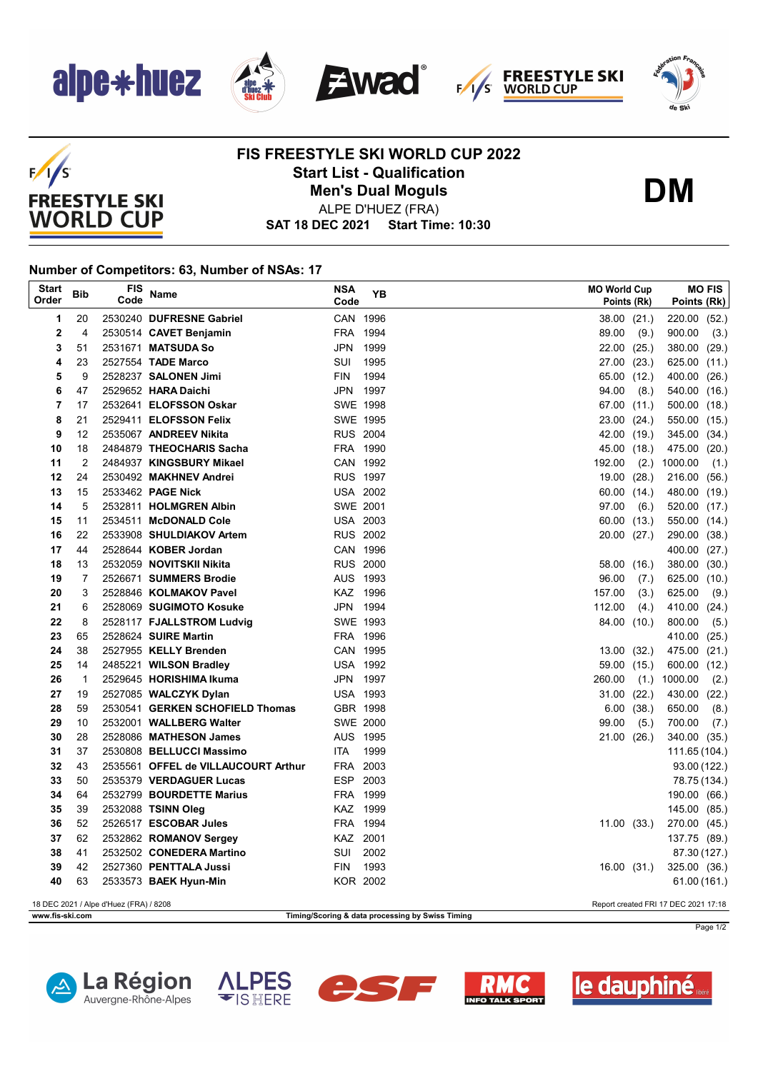

 $F/1/S$ 

**FREESTYLE SKI WORLD CUP** 







## **FIS FREESTYLE SKI WORLD CUP 2022 Start List - Qualification Men's Dual Moguls**



ALPE D'HUEZ (FRA)

**SAT 18 DEC 2021 Start Time: 10:30**

## **Number of Competitors: 63, Number of NSAs: 17**

| <b>Start</b><br>Order | Bib                                                                            | FIS<br>Code | Name                                                           | <b>NSA</b><br>Code   | YΒ   |  | <b>MO World Cup</b><br>Points (Rk) |       | Points (Rk)                  | <b>MO FIS</b> |
|-----------------------|--------------------------------------------------------------------------------|-------------|----------------------------------------------------------------|----------------------|------|--|------------------------------------|-------|------------------------------|---------------|
| 1                     | 20                                                                             |             | 2530240 DUFRESNE Gabriel                                       | CAN 1996             |      |  | 38.00 (21.)                        |       | 220.00 (52.)                 |               |
| $\overline{2}$        | $\overline{4}$                                                                 |             | 2530514 CAVET Benjamin                                         | FRA 1994             |      |  | 89.00                              | (9.)  | 900.00                       | (3.)          |
| 3                     | 51                                                                             |             | 2531671 MATSUDA So                                             | <b>JPN</b>           | 1999 |  | 22.00                              | (25.) | 380.00 (29.)                 |               |
| 4                     | 23                                                                             |             | 2527554 TADE Marco                                             | SUI                  | 1995 |  | 27.00                              | (23.) | 625.00 (11.)                 |               |
| 5                     | 9                                                                              |             | 2528237 SALONEN Jimi                                           | <b>FIN</b>           | 1994 |  | 65.00                              | (12.) | 400.00 (26.)                 |               |
| 6                     | 47                                                                             |             | 2529652 HARA Daichi                                            | JPN 1997             |      |  | 94.00                              | (8.)  | 540.00 (16.)                 |               |
| 7                     | 17                                                                             |             | 2532641 ELOFSSON Oskar                                         | <b>SWE 1998</b>      |      |  | 67.00                              | (11.) | 500.00 (18.)                 |               |
| 8                     | 21                                                                             |             | 2529411 ELOFSSON Felix                                         | SWE 1995             |      |  | 23.00                              | (24.) | 550.00 (15.)                 |               |
| 9                     | 12                                                                             |             | 2535067 ANDREEV Nikita                                         | <b>RUS 2004</b>      |      |  | 42.00                              | (19.) | 345.00 (34.)                 |               |
| 10                    | 18                                                                             |             | 2484879 THEOCHARIS Sacha                                       | FRA 1990             |      |  | 45.00                              | (18.) | 475.00 (20.)                 |               |
| 11                    | 2                                                                              |             | 2484937 KINGSBURY Mikael                                       | CAN 1992             |      |  | 192.00                             | (2.)  | 1000.00                      | (1.)          |
| 12                    | 24                                                                             |             | 2530492 MAKHNEV Andrei                                         | <b>RUS 1997</b>      |      |  | 19.00                              | (28.) | 216.00 (56.)                 |               |
| 13                    | 15                                                                             |             | 2533462 PAGE Nick                                              | <b>USA 2002</b>      |      |  | 60.00                              | (14.) | 480.00 (19.)                 |               |
| 14                    | 5                                                                              |             | 2532811 HOLMGREN Albin                                         | <b>SWE 2001</b>      |      |  | 97.00                              | (6.)  | 520.00 (17.)                 |               |
| 15                    | 11                                                                             |             | 2534511 McDONALD Cole                                          | <b>USA 2003</b>      |      |  | 60.00                              | (13.) | 550.00 (14.)                 |               |
| 16                    | 22                                                                             |             | 2533908 SHULDIAKOV Artem                                       | <b>RUS 2002</b>      |      |  | 20.00 (27.)                        |       | 290.00 (38.)                 |               |
| 17                    | 44                                                                             |             | 2528644 KOBER Jordan                                           | CAN 1996             |      |  |                                    |       | 400.00 (27.)                 |               |
| 18                    | 13                                                                             |             | 2532059 NOVITSKII Nikita                                       | <b>RUS 2000</b>      |      |  | 58.00                              | (16.) | 380.00 (30.)                 |               |
| 19                    | 7                                                                              |             | 2526671 SUMMERS Brodie                                         | AUS 1993             |      |  | 96.00                              | (7.)  | 625.00 (10.)                 |               |
| 20                    | 3                                                                              |             | 2528846 KOLMAKOV Pavel                                         | KAZ 1996             |      |  | 157.00                             | (3.)  | 625.00                       | (9.)          |
| 21                    | 6                                                                              |             | 2528069 SUGIMOTO Kosuke                                        | JPN 1994             |      |  | 112.00                             | (4.)  | 410.00 (24.)                 |               |
| 22                    | 8                                                                              |             | 2528117 FJALLSTROM Ludvig                                      | SWE 1993             |      |  | 84.00                              | (10.) | 800.00                       | (5.)          |
| 23                    | 65                                                                             |             | 2528624 SUIRE Martin                                           | FRA 1996             |      |  |                                    |       | 410.00 (25.)                 |               |
| 24                    | 38                                                                             |             | 2527955 KELLY Brenden                                          | CAN 1995             |      |  | 13.00                              | (32.) | 475.00 (21.)                 |               |
| 25                    | 14                                                                             |             | 2485221 WILSON Bradley                                         | <b>USA 1992</b>      |      |  | 59.00                              | (15.) | 600.00 (12.)                 |               |
| 26                    | $\mathbf 1$                                                                    |             | 2529645 HORISHIMA Ikuma                                        | JPN 1997             |      |  | 260.00                             | (1.)  | 1000.00                      | (2.)          |
| 27                    | 19                                                                             |             | 2527085 WALCZYK Dylan                                          | <b>USA 1993</b>      |      |  | 31.00                              | (22.) | 430.00 (22.)                 |               |
| 28                    | 59                                                                             |             | 2530541 GERKEN SCHOFIELD Thomas                                | GBR 1998             |      |  | 6.00                               | (38.) | 650.00                       | (8.)          |
| 29                    | 10                                                                             |             | 2532001 WALLBERG Walter                                        | SWE 2000             |      |  | 99.00                              | (5.)  | 700.00                       | (7.)          |
| 30                    | 28                                                                             |             | 2528086 MATHESON James                                         | AUS 1995             |      |  | 21.00 (26.)                        |       | 340.00 (35.)                 |               |
| 31                    | 37                                                                             |             | 2530808 BELLUCCI Massimo                                       | <b>ITA</b>           | 1999 |  |                                    |       | 111.65 (104.)                |               |
| 32<br>33              | 43<br>50                                                                       |             | 2535561 OFFEL de VILLAUCOURT Arthur<br>2535379 VERDAGUER Lucas | FRA 2003<br>ESP 2003 |      |  |                                    |       | 93.00 (122.)                 |               |
| 34                    | 64                                                                             |             | 2532799 BOURDETTE Marius                                       | FRA 1999             |      |  |                                    |       | 78.75 (134.)<br>190.00 (66.) |               |
| 35                    | 39                                                                             |             | 2532088 TSINN Oleg                                             | KAZ 1999             |      |  |                                    |       | 145.00 (85.)                 |               |
| 36                    | 52                                                                             |             | 2526517 ESCOBAR Jules                                          | FRA 1994             |      |  | 11.00(33)                          |       | 270.00 (45.)                 |               |
| 37                    | 62                                                                             |             | 2532862 ROMANOV Sergey                                         | KAZ 2001             |      |  |                                    |       | 137.75 (89.)                 |               |
| 38                    | 41                                                                             |             | 2532502 CONEDERA Martino                                       | SUI                  | 2002 |  |                                    |       | 87.30 (127.)                 |               |
| 39                    | 42                                                                             |             | 2527360 PENTTALA Jussi                                         | <b>FIN</b>           | 1993 |  | 16.00(31)                          |       | 325.00 (36.)                 |               |
| 40                    | 63                                                                             |             | 2533573 BAEK Hyun-Min                                          | <b>KOR 2002</b>      |      |  |                                    |       | 61.00 (161.)                 |               |
|                       |                                                                                |             |                                                                |                      |      |  |                                    |       |                              |               |
|                       | 18 DEC 2021 / Alpe d'Huez (FRA) / 8208<br>Report created FRI 17 DEC 2021 17:18 |             |                                                                |                      |      |  |                                    |       |                              |               |
|                       | www.fis-ski.com<br>Timing/Scoring & data processing by Swiss Timing            |             |                                                                |                      |      |  |                                    |       |                              |               |



Page 1/2